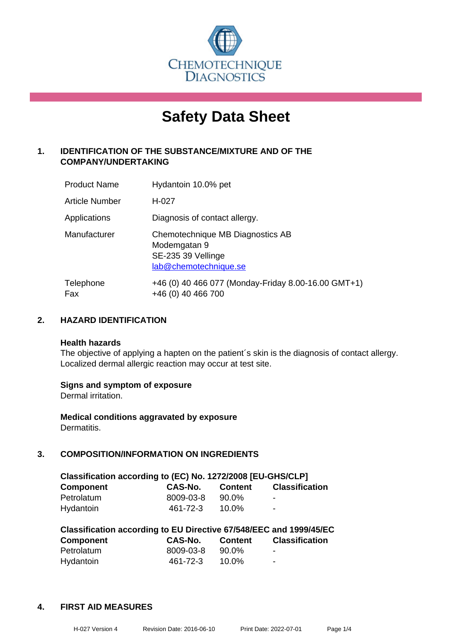

# **Safety Data Sheet**

# **1. IDENTIFICATION OF THE SUBSTANCE/MIXTURE AND OF THE COMPANY/UNDERTAKING**

| <b>Product Name</b> | Hydantoin 10.0% pet                                                                             |
|---------------------|-------------------------------------------------------------------------------------------------|
| Article Number      | H-027                                                                                           |
| Applications        | Diagnosis of contact allergy.                                                                   |
| Manufacturer        | Chemotechnique MB Diagnostics AB<br>Modemgatan 9<br>SE-235 39 Vellinge<br>lab@chemotechnique.se |
| Telephone<br>Fax    | +46 (0) 40 466 077 (Monday-Friday 8.00-16.00 GMT+1)<br>+46 (0) 40 466 700                       |

# **2. HAZARD IDENTIFICATION**

#### **Health hazards**

The objective of applying a hapten on the patient's skin is the diagnosis of contact allergy. Localized dermal allergic reaction may occur at test site.

#### **Signs and symptom of exposure**

Dermal irritation.

**Medical conditions aggravated by exposure** Dermatitis.

# **3. COMPOSITION/INFORMATION ON INGREDIENTS**

| Classification according to (EC) No. 1272/2008 [EU-GHS/CLP] |           |                |                       |  |
|-------------------------------------------------------------|-----------|----------------|-----------------------|--|
| <b>Component</b>                                            | CAS-No.   | <b>Content</b> | <b>Classification</b> |  |
| Petrolatum                                                  | 8009-03-8 | 90.0%          | $\blacksquare$        |  |
| Hydantoin                                                   | 461-72-3  | $10.0\%$       | $\blacksquare$        |  |

| Classification according to EU Directive 67/548/EEC and 1999/45/EC |           |                |                       |  |  |
|--------------------------------------------------------------------|-----------|----------------|-----------------------|--|--|
| <b>Component</b>                                                   | CAS-No.   | <b>Content</b> | <b>Classification</b> |  |  |
| Petrolatum                                                         | 8009-03-8 | 90.0%          | -                     |  |  |
| Hydantoin                                                          | 461-72-3  | 10.0%          | -                     |  |  |

#### **4. FIRST AID MEASURES**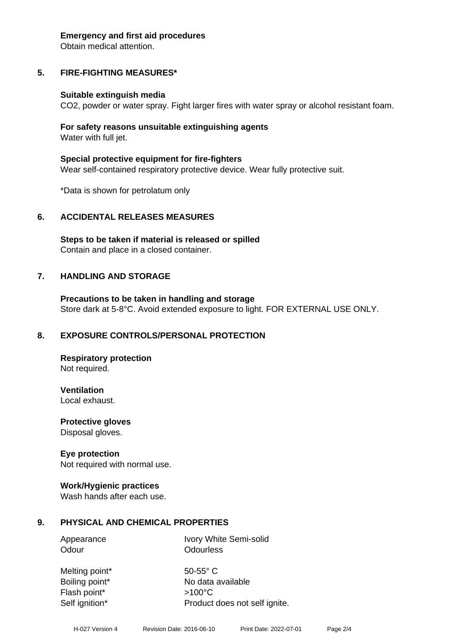#### **Emergency and first aid procedures**

Obtain medical attention.

# **5. FIRE-FIGHTING MEASURES\***

#### **Suitable extinguish media**

CO2, powder or water spray. Fight larger fires with water spray or alcohol resistant foam.

#### **For safety reasons unsuitable extinguishing agents** Water with full jet.

**Special protective equipment for fire-fighters** Wear self-contained respiratory protective device. Wear fully protective suit.

\*Data is shown for petrolatum only

#### **6. ACCIDENTAL RELEASES MEASURES**

**Steps to be taken if material is released or spilled** Contain and place in a closed container.

#### **7. HANDLING AND STORAGE**

**Precautions to be taken in handling and storage** Store dark at 5-8°C. Avoid extended exposure to light. FOR EXTERNAL USE ONLY.

#### **8. EXPOSURE CONTROLS/PERSONAL PROTECTION**

**Respiratory protection** Not required.

**Ventilation** Local exhaust.

**Protective gloves** Disposal gloves.

#### **Eye protection**

Not required with normal use.

#### **Work/Hygienic practices**

Wash hands after each use.

#### **9. PHYSICAL AND CHEMICAL PROPERTIES**

Appearance Ivory White Semi-solid Odour **Odourless** 

Melting point\* 50-55° C Flash point\* >100°C

Boiling point\* No data available Self ignition\* Product does not self ignite.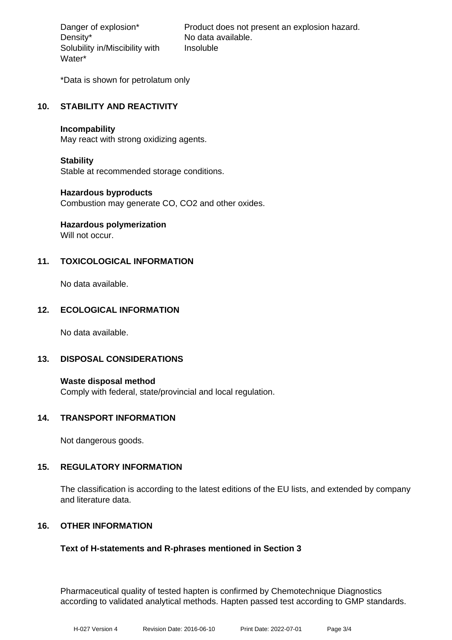Density\* No data available. Solubility in/Miscibility with Water\*

Danger of explosion\* Product does not present an explosion hazard. Insoluble

\*Data is shown for petrolatum only

# **10. STABILITY AND REACTIVITY**

#### **Incompability**

May react with strong oxidizing agents.

#### **Stability**

Stable at recommended storage conditions.

#### **Hazardous byproducts**

Combustion may generate CO, CO2 and other oxides.

# **Hazardous polymerization**

Will not occur.

# **11. TOXICOLOGICAL INFORMATION**

No data available.

# **12. ECOLOGICAL INFORMATION**

No data available.

#### **13. DISPOSAL CONSIDERATIONS**

**Waste disposal method** Comply with federal, state/provincial and local regulation.

#### **14. TRANSPORT INFORMATION**

Not dangerous goods.

#### **15. REGULATORY INFORMATION**

The classification is according to the latest editions of the EU lists, and extended by company and literature data.

#### **16. OTHER INFORMATION**

#### **Text of H-statements and R-phrases mentioned in Section 3**

Pharmaceutical quality of tested hapten is confirmed by Chemotechnique Diagnostics according to validated analytical methods. Hapten passed test according to GMP standards.